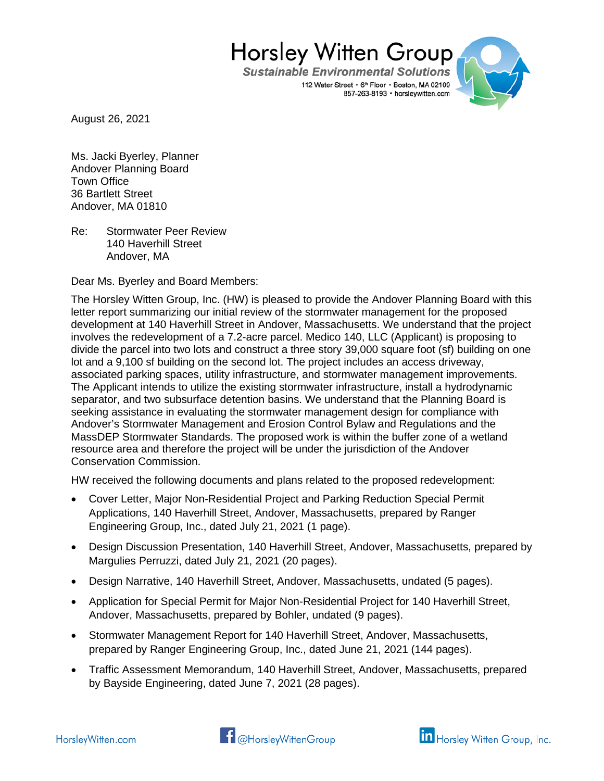**Sustainable Environmental Solutions** 112 Water Street • 6th Floor • Boston, MA 02109 857-263-8193 · horsleywitten.com



August 26, 2021

Ms. Jacki Byerley, Planner Andover Planning Board Town Office 36 Bartlett Street Andover, MA 01810

Re: Stormwater Peer Review 140 Haverhill Street Andover, MA

Dear Ms. Byerley and Board Members:

The Horsley Witten Group, Inc. (HW) is pleased to provide the Andover Planning Board with this letter report summarizing our initial review of the stormwater management for the proposed development at 140 Haverhill Street in Andover, Massachusetts. We understand that the project involves the redevelopment of a 7.2-acre parcel. Medico 140, LLC (Applicant) is proposing to divide the parcel into two lots and construct a three story 39,000 square foot (sf) building on one lot and a 9,100 sf building on the second lot. The project includes an access driveway, associated parking spaces, utility infrastructure, and stormwater management improvements. The Applicant intends to utilize the existing stormwater infrastructure, install a hydrodynamic separator, and two subsurface detention basins. We understand that the Planning Board is seeking assistance in evaluating the stormwater management design for compliance with Andover's Stormwater Management and Erosion Control Bylaw and Regulations and the MassDEP Stormwater Standards. The proposed work is within the buffer zone of a wetland resource area and therefore the project will be under the jurisdiction of the Andover Conservation Commission.

HW received the following documents and plans related to the proposed redevelopment:

- Cover Letter, Major Non-Residential Project and Parking Reduction Special Permit Applications, 140 Haverhill Street, Andover, Massachusetts, prepared by Ranger Engineering Group, Inc., dated July 21, 2021 (1 page).
- Design Discussion Presentation, 140 Haverhill Street, Andover, Massachusetts, prepared by Margulies Perruzzi, dated July 21, 2021 (20 pages).
- Design Narrative, 140 Haverhill Street, Andover, Massachusetts, undated (5 pages).
- Application for Special Permit for Major Non-Residential Project for 140 Haverhill Street, Andover, Massachusetts, prepared by Bohler, undated (9 pages).
- Stormwater Management Report for 140 Haverhill Street, Andover, Massachusetts, prepared by Ranger Engineering Group, Inc., dated June 21, 2021 (144 pages).
- Traffic Assessment Memorandum, 140 Haverhill Street, Andover, Massachusetts, prepared by Bayside Engineering, dated June 7, 2021 (28 pages).



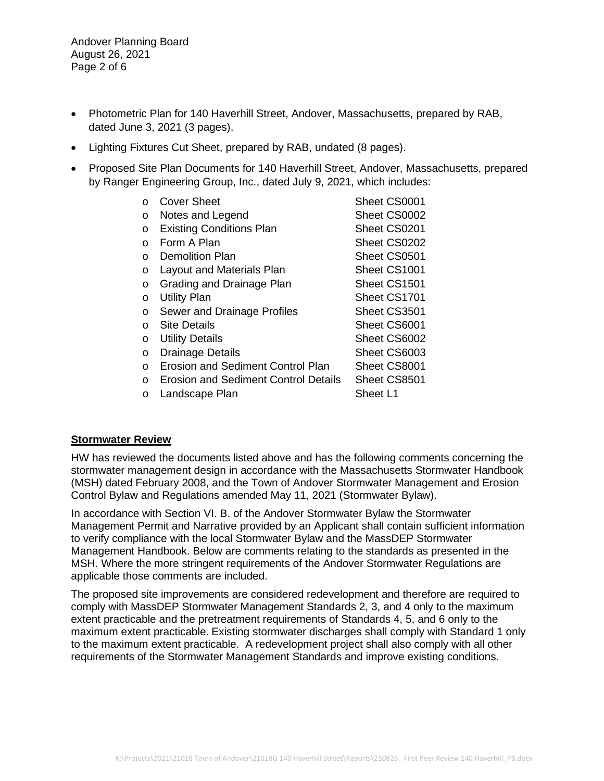Andover Planning Board August 26, 2021 Page 2 of 6

- Photometric Plan for 140 Haverhill Street, Andover, Massachusetts, prepared by RAB, dated June 3, 2021 (3 pages).
- Lighting Fixtures Cut Sheet, prepared by RAB, undated (8 pages).
- Proposed Site Plan Documents for 140 Haverhill Street, Andover, Massachusetts, prepared by Ranger Engineering Group, Inc., dated July 9, 2021, which includes:

| $\Omega$ | <b>Cover Sheet</b>                       | Sheet CS0001 |
|----------|------------------------------------------|--------------|
| O        | Notes and Legend                         | Sheet CS0002 |
| O        | <b>Existing Conditions Plan</b>          | Sheet CS0201 |
| O        | Form A Plan                              | Sheet CS0202 |
| ∩        | <b>Demolition Plan</b>                   | Sheet CS0501 |
| O        | <b>Layout and Materials Plan</b>         | Sheet CS1001 |
| O        | Grading and Drainage Plan                | Sheet CS1501 |
| O        | <b>Utility Plan</b>                      | Sheet CS1701 |
| O        | Sewer and Drainage Profiles              | Sheet CS3501 |
| O        | <b>Site Details</b>                      | Sheet CS6001 |
| O        | <b>Utility Details</b>                   | Sheet CS6002 |
| O        | <b>Drainage Details</b>                  | Sheet CS6003 |
| $\Omega$ | <b>Erosion and Sediment Control Plan</b> | Sheet CS8001 |
| $\Omega$ | Erosion and Sediment Control Details     | Sheet CS8501 |
| O        | Landscape Plan                           | Sheet L1     |

## **Stormwater Review**

HW has reviewed the documents listed above and has the following comments concerning the stormwater management design in accordance with the Massachusetts Stormwater Handbook (MSH) dated February 2008, and the Town of Andover Stormwater Management and Erosion Control Bylaw and Regulations amended May 11, 2021 (Stormwater Bylaw).

In accordance with Section VI. B. of the Andover Stormwater Bylaw the Stormwater Management Permit and Narrative provided by an Applicant shall contain sufficient information to verify compliance with the local Stormwater Bylaw and the MassDEP Stormwater Management Handbook. Below are comments relating to the standards as presented in the MSH. Where the more stringent requirements of the Andover Stormwater Regulations are applicable those comments are included.

The proposed site improvements are considered redevelopment and therefore are required to comply with MassDEP Stormwater Management Standards 2, 3, and 4 only to the maximum extent practicable and the pretreatment requirements of Standards 4, 5, and 6 only to the maximum extent practicable. Existing stormwater discharges shall comply with Standard 1 only to the maximum extent practicable. A redevelopment project shall also comply with all other requirements of the Stormwater Management Standards and improve existing conditions.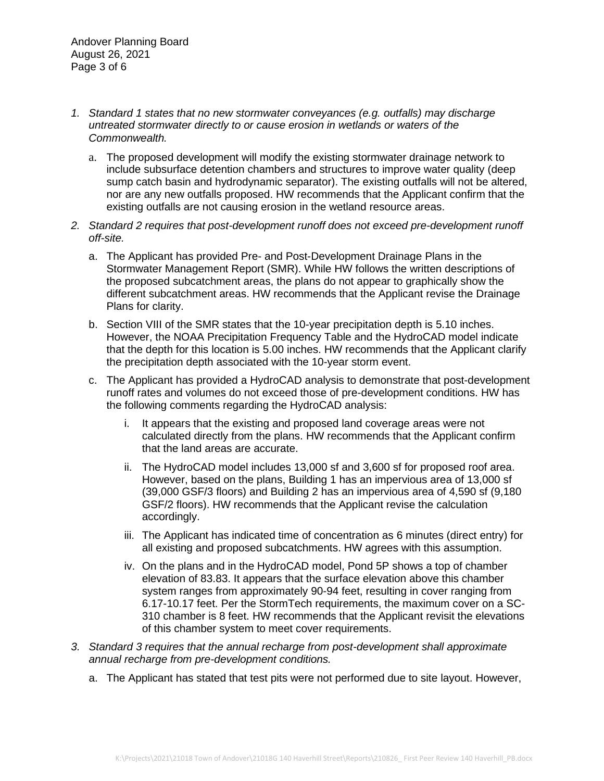- *1. Standard 1 states that no new stormwater conveyances (e.g. outfalls) may discharge untreated stormwater directly to or cause erosion in wetlands or waters of the Commonwealth.*
	- a. The proposed development will modify the existing stormwater drainage network to include subsurface detention chambers and structures to improve water quality (deep sump catch basin and hydrodynamic separator). The existing outfalls will not be altered, nor are any new outfalls proposed. HW recommends that the Applicant confirm that the existing outfalls are not causing erosion in the wetland resource areas.
- *2. Standard 2 requires that post-development runoff does not exceed pre-development runoff off-site.*
	- a. The Applicant has provided Pre- and Post-Development Drainage Plans in the Stormwater Management Report (SMR). While HW follows the written descriptions of the proposed subcatchment areas, the plans do not appear to graphically show the different subcatchment areas. HW recommends that the Applicant revise the Drainage Plans for clarity.
	- b. Section VIII of the SMR states that the 10-year precipitation depth is 5.10 inches. However, the NOAA Precipitation Frequency Table and the HydroCAD model indicate that the depth for this location is 5.00 inches. HW recommends that the Applicant clarify the precipitation depth associated with the 10-year storm event.
	- c. The Applicant has provided a HydroCAD analysis to demonstrate that post-development runoff rates and volumes do not exceed those of pre-development conditions. HW has the following comments regarding the HydroCAD analysis:
		- i. It appears that the existing and proposed land coverage areas were not calculated directly from the plans. HW recommends that the Applicant confirm that the land areas are accurate.
		- ii. The HydroCAD model includes 13,000 sf and 3,600 sf for proposed roof area. However, based on the plans, Building 1 has an impervious area of 13,000 sf (39,000 GSF/3 floors) and Building 2 has an impervious area of 4,590 sf (9,180 GSF/2 floors). HW recommends that the Applicant revise the calculation accordingly.
		- iii. The Applicant has indicated time of concentration as 6 minutes (direct entry) for all existing and proposed subcatchments. HW agrees with this assumption.
		- iv. On the plans and in the HydroCAD model, Pond 5P shows a top of chamber elevation of 83.83. It appears that the surface elevation above this chamber system ranges from approximately 90-94 feet, resulting in cover ranging from 6.17-10.17 feet. Per the StormTech requirements, the maximum cover on a SC-310 chamber is 8 feet. HW recommends that the Applicant revisit the elevations of this chamber system to meet cover requirements.
- *3. Standard 3 requires that the annual recharge from post-development shall approximate annual recharge from pre-development conditions.*
	- a. The Applicant has stated that test pits were not performed due to site layout. However,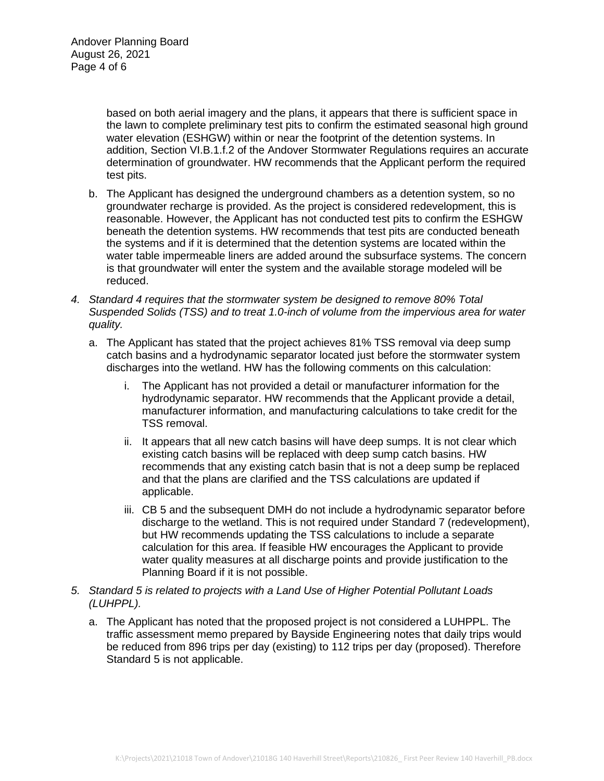based on both aerial imagery and the plans, it appears that there is sufficient space in the lawn to complete preliminary test pits to confirm the estimated seasonal high ground water elevation (ESHGW) within or near the footprint of the detention systems. In addition, Section VI.B.1.f.2 of the Andover Stormwater Regulations requires an accurate determination of groundwater. HW recommends that the Applicant perform the required test pits.

- b. The Applicant has designed the underground chambers as a detention system, so no groundwater recharge is provided. As the project is considered redevelopment, this is reasonable. However, the Applicant has not conducted test pits to confirm the ESHGW beneath the detention systems. HW recommends that test pits are conducted beneath the systems and if it is determined that the detention systems are located within the water table impermeable liners are added around the subsurface systems. The concern is that groundwater will enter the system and the available storage modeled will be reduced.
- *4. Standard 4 requires that the stormwater system be designed to remove 80% Total Suspended Solids (TSS) and to treat 1.0-inch of volume from the impervious area for water quality.*
	- a. The Applicant has stated that the project achieves 81% TSS removal via deep sump catch basins and a hydrodynamic separator located just before the stormwater system discharges into the wetland. HW has the following comments on this calculation:
		- i. The Applicant has not provided a detail or manufacturer information for the hydrodynamic separator. HW recommends that the Applicant provide a detail, manufacturer information, and manufacturing calculations to take credit for the TSS removal.
		- ii. It appears that all new catch basins will have deep sumps. It is not clear which existing catch basins will be replaced with deep sump catch basins. HW recommends that any existing catch basin that is not a deep sump be replaced and that the plans are clarified and the TSS calculations are updated if applicable.
		- iii. CB 5 and the subsequent DMH do not include a hydrodynamic separator before discharge to the wetland. This is not required under Standard 7 (redevelopment), but HW recommends updating the TSS calculations to include a separate calculation for this area. If feasible HW encourages the Applicant to provide water quality measures at all discharge points and provide justification to the Planning Board if it is not possible.
- *5. Standard 5 is related to projects with a Land Use of Higher Potential Pollutant Loads (LUHPPL).*
	- a. The Applicant has noted that the proposed project is not considered a LUHPPL. The traffic assessment memo prepared by Bayside Engineering notes that daily trips would be reduced from 896 trips per day (existing) to 112 trips per day (proposed). Therefore Standard 5 is not applicable.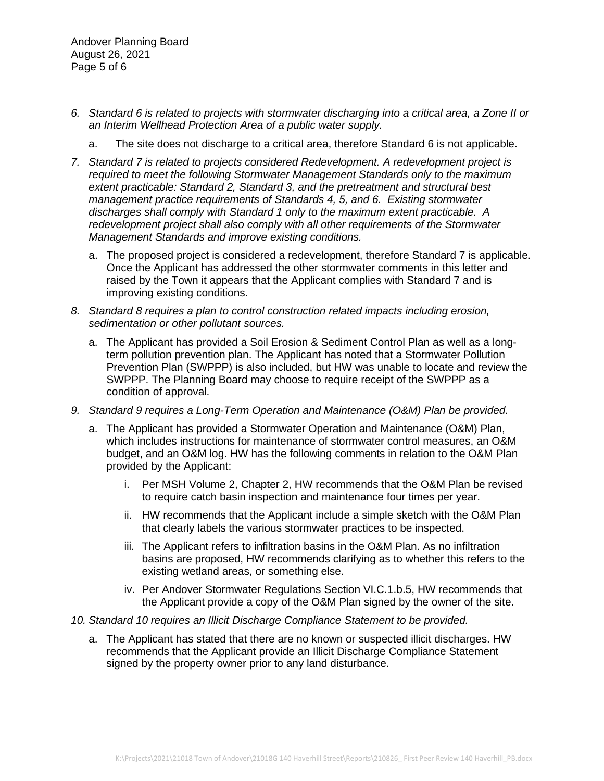Andover Planning Board August 26, 2021 Page 5 of 6

- *6. Standard 6 is related to projects with stormwater discharging into a critical area, a Zone II or an Interim Wellhead Protection Area of a public water supply.*
	- a. The site does not discharge to a critical area, therefore Standard 6 is not applicable.
- *7. Standard 7 is related to projects considered Redevelopment. A redevelopment project is required to meet the following Stormwater Management Standards only to the maximum extent practicable: Standard 2, Standard 3, and the pretreatment and structural best management practice requirements of Standards 4, 5, and 6. Existing stormwater discharges shall comply with Standard 1 only to the maximum extent practicable. A redevelopment project shall also comply with all other requirements of the Stormwater Management Standards and improve existing conditions.*
	- a. The proposed project is considered a redevelopment, therefore Standard 7 is applicable. Once the Applicant has addressed the other stormwater comments in this letter and raised by the Town it appears that the Applicant complies with Standard 7 and is improving existing conditions.
- *8. Standard 8 requires a plan to control construction related impacts including erosion, sedimentation or other pollutant sources.*
	- a. The Applicant has provided a Soil Erosion & Sediment Control Plan as well as a longterm pollution prevention plan. The Applicant has noted that a Stormwater Pollution Prevention Plan (SWPPP) is also included, but HW was unable to locate and review the SWPPP. The Planning Board may choose to require receipt of the SWPPP as a condition of approval.
- *9. Standard 9 requires a Long-Term Operation and Maintenance (O&M) Plan be provided.*
	- a. The Applicant has provided a Stormwater Operation and Maintenance (O&M) Plan, which includes instructions for maintenance of stormwater control measures, an O&M budget, and an O&M log. HW has the following comments in relation to the O&M Plan provided by the Applicant:
		- i. Per MSH Volume 2, Chapter 2, HW recommends that the O&M Plan be revised to require catch basin inspection and maintenance four times per year.
		- ii. HW recommends that the Applicant include a simple sketch with the O&M Plan that clearly labels the various stormwater practices to be inspected.
		- iii. The Applicant refers to infiltration basins in the O&M Plan. As no infiltration basins are proposed, HW recommends clarifying as to whether this refers to the existing wetland areas, or something else.
		- iv. Per Andover Stormwater Regulations Section VI.C.1.b.5, HW recommends that the Applicant provide a copy of the O&M Plan signed by the owner of the site.
- *10. Standard 10 requires an Illicit Discharge Compliance Statement to be provided.*
	- a. The Applicant has stated that there are no known or suspected illicit discharges. HW recommends that the Applicant provide an Illicit Discharge Compliance Statement signed by the property owner prior to any land disturbance.